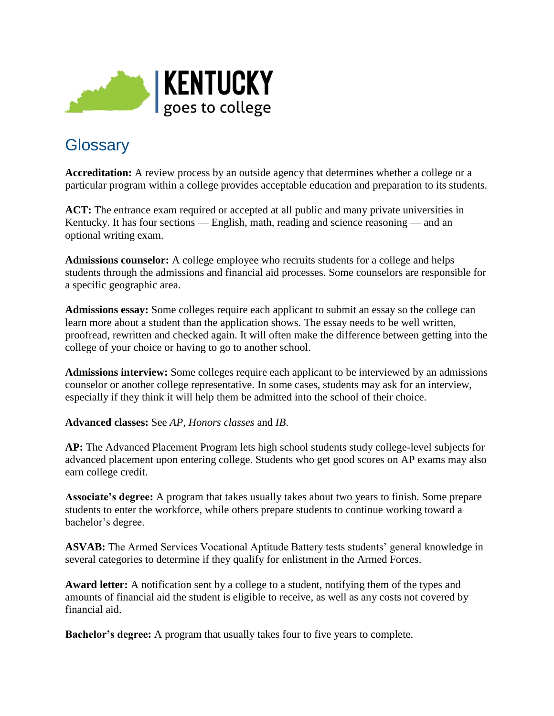

## **Glossary**

**Accreditation:** A review process by an outside agency that determines whether a college or a particular program within a college provides acceptable education and preparation to its students.

**ACT:** The entrance exam required or accepted at all public and many private universities in Kentucky. It has four sections — English, math, reading and science reasoning — and an optional writing exam.

**Admissions counselor:** A college employee who recruits students for a college and helps students through the admissions and financial aid processes. Some counselors are responsible for a specific geographic area.

**Admissions essay:** Some colleges require each applicant to submit an essay so the college can learn more about a student than the application shows. The essay needs to be well written, proofread, rewritten and checked again. It will often make the difference between getting into the college of your choice or having to go to another school.

**Admissions interview:** Some colleges require each applicant to be interviewed by an admissions counselor or another college representative. In some cases, students may ask for an interview, especially if they think it will help them be admitted into the school of their choice.

**Advanced classes:** See *AP*, *Honors classes* and *IB*.

**AP:** The Advanced Placement Program lets high school students study college-level subjects for advanced placement upon entering college. Students who get good scores on AP exams may also earn college credit.

**Associate's degree:** A program that takes usually takes about two years to finish. Some prepare students to enter the workforce, while others prepare students to continue working toward a bachelor's degree.

ASVAB: The Armed Services Vocational Aptitude Battery tests students' general knowledge in several categories to determine if they qualify for enlistment in the Armed Forces.

**Award letter:** A notification sent by a college to a student, notifying them of the types and amounts of financial aid the student is eligible to receive, as well as any costs not covered by financial aid.

**Bachelor's degree:** A program that usually takes four to five years to complete.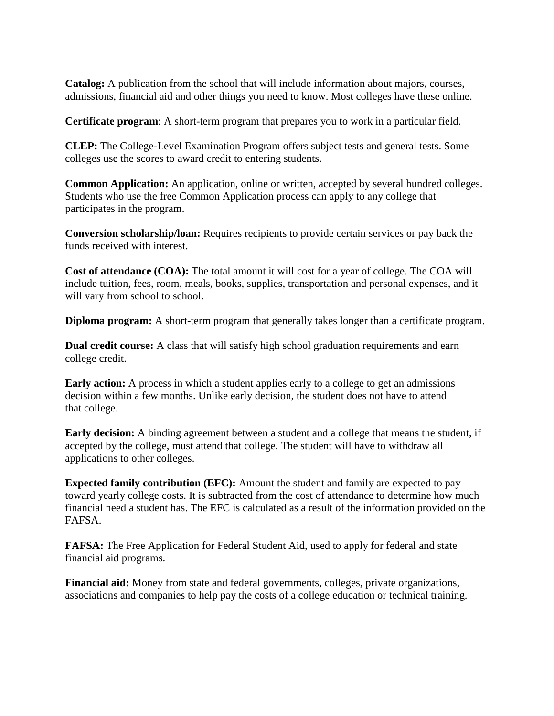**Catalog:** A publication from the school that will include information about majors, courses, admissions, financial aid and other things you need to know. Most colleges have these online.

**Certificate program**: A short-term program that prepares you to work in a particular field.

**CLEP:** The College-Level Examination Program offers subject tests and general tests. Some colleges use the scores to award credit to entering students.

**Common Application:** An application, online or written, accepted by several hundred colleges. Students who use the free Common Application process can apply to any college that participates in the program.

**Conversion scholarship/loan:** Requires recipients to provide certain services or pay back the funds received with interest.

**Cost of attendance (COA):** The total amount it will cost for a year of college. The COA will include tuition, fees, room, meals, books, supplies, transportation and personal expenses, and it will vary from school to school.

**Diploma program:** A short-term program that generally takes longer than a certificate program.

**Dual credit course:** A class that will satisfy high school graduation requirements and earn college credit.

**Early action:** A process in which a student applies early to a college to get an admissions decision within a few months. Unlike early decision, the student does not have to attend that college.

**Early decision:** A binding agreement between a student and a college that means the student, if accepted by the college, must attend that college. The student will have to withdraw all applications to other colleges.

**Expected family contribution (EFC):** Amount the student and family are expected to pay toward yearly college costs. It is subtracted from the cost of attendance to determine how much financial need a student has. The EFC is calculated as a result of the information provided on the FAFSA.

**FAFSA:** The Free Application for Federal Student Aid, used to apply for federal and state financial aid programs.

**Financial aid:** Money from state and federal governments, colleges, private organizations, associations and companies to help pay the costs of a college education or technical training.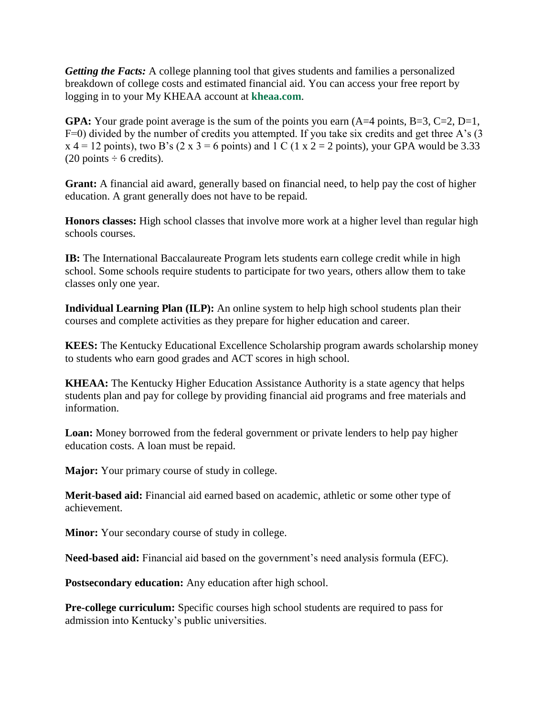*Getting the Facts:* A college planning tool that gives students and families a personalized breakdown of college costs and estimated financial aid. You can access your free report by logging in to your My KHEAA account at **kheaa.com**.

**GPA:** Your grade point average is the sum of the points you earn  $(A=4 \text{ points}, B=3, C=2, D=1,$ F=0) divided by the number of credits you attempted. If you take six credits and get three A's (3  $x$  4 = 12 points), two B's (2 x 3 = 6 points) and 1 C (1 x 2 = 2 points), your GPA would be 3.33  $(20 \text{ points} \div 6 \text{ credits}).$ 

**Grant:** A financial aid award, generally based on financial need, to help pay the cost of higher education. A grant generally does not have to be repaid.

**Honors classes:** High school classes that involve more work at a higher level than regular high schools courses.

**IB:** The International Baccalaureate Program lets students earn college credit while in high school. Some schools require students to participate for two years, others allow them to take classes only one year.

**Individual Learning Plan (ILP):** An online system to help high school students plan their courses and complete activities as they prepare for higher education and career.

**KEES:** The Kentucky Educational Excellence Scholarship program awards scholarship money to students who earn good grades and ACT scores in high school.

**KHEAA:** The Kentucky Higher Education Assistance Authority is a state agency that helps students plan and pay for college by providing financial aid programs and free materials and information.

**Loan:** Money borrowed from the federal government or private lenders to help pay higher education costs. A loan must be repaid.

**Major:** Your primary course of study in college.

**Merit-based aid:** Financial aid earned based on academic, athletic or some other type of achievement.

**Minor:** Your secondary course of study in college.

**Need-based aid:** Financial aid based on the government's need analysis formula (EFC).

**Postsecondary education:** Any education after high school.

**Pre-college curriculum:** Specific courses high school students are required to pass for admission into Kentucky's public universities.